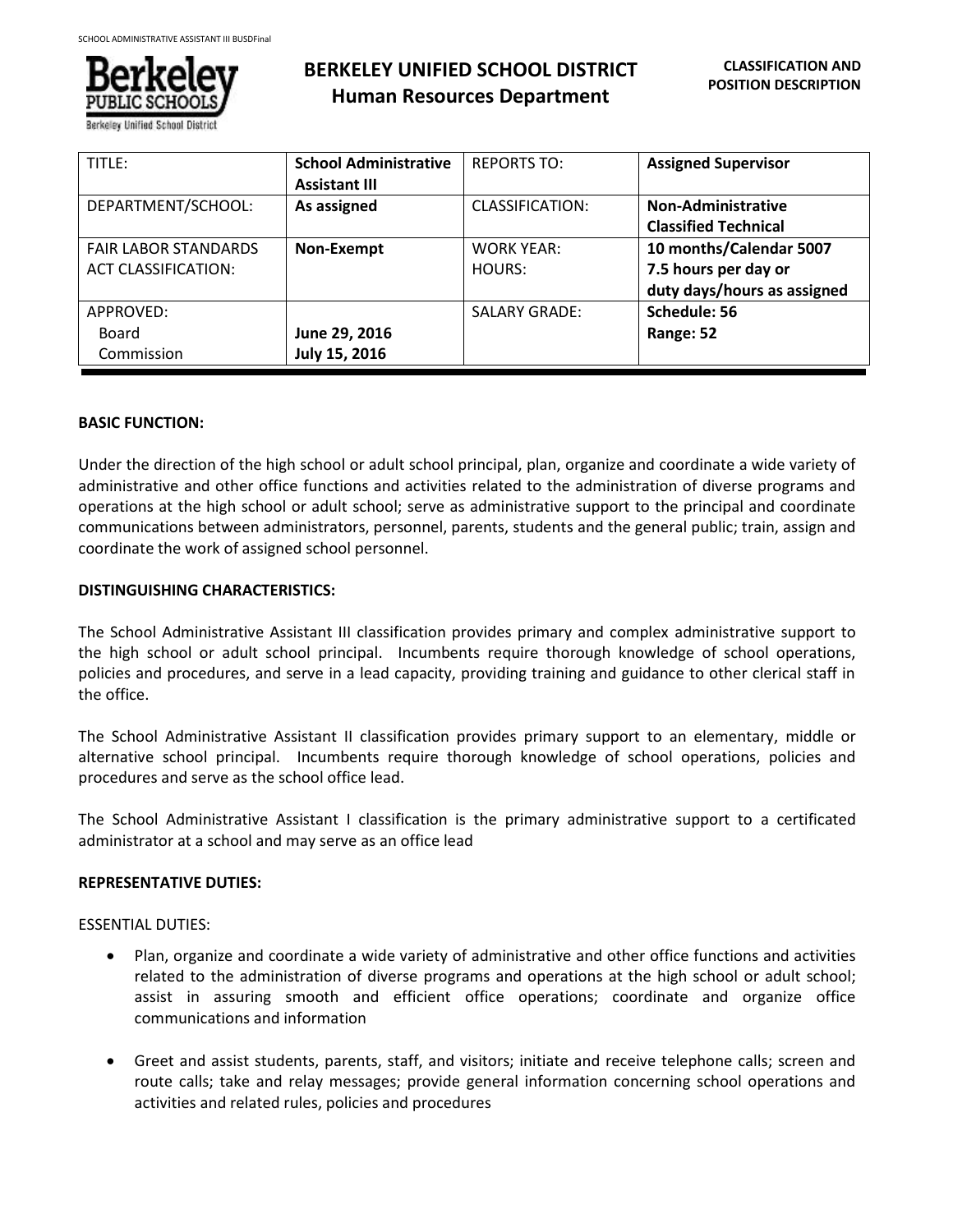

**Human Resources Department**

| TITLE:                                                    | <b>School Administrative</b><br><b>Assistant III</b> | <b>REPORTS TO:</b>          | <b>Assigned Supervisor</b>                                                     |
|-----------------------------------------------------------|------------------------------------------------------|-----------------------------|--------------------------------------------------------------------------------|
| DEPARTMENT/SCHOOL:                                        | As assigned                                          | CLASSIFICATION:             | <b>Non-Administrative</b><br><b>Classified Technical</b>                       |
| <b>FAIR LABOR STANDARDS</b><br><b>ACT CLASSIFICATION:</b> | Non-Exempt                                           | <b>WORK YEAR:</b><br>HOURS: | 10 months/Calendar 5007<br>7.5 hours per day or<br>duty days/hours as assigned |
| APPROVED:<br>Board<br>Commission                          | June 29, 2016<br>July 15, 2016                       | <b>SALARY GRADE:</b>        | Schedule: 56<br>Range: 52                                                      |

**BERKELEY UNIFIED SCHOOL DISTRICT**

# **BASIC FUNCTION:**

j

Under the direction of the high school or adult school principal, plan, organize and coordinate a wide variety of administrative and other office functions and activities related to the administration of diverse programs and operations at the high school or adult school; serve as administrative support to the principal and coordinate communications between administrators, personnel, parents, students and the general public; train, assign and coordinate the work of assigned school personnel.

# **DISTINGUISHING CHARACTERISTICS:**

The School Administrative Assistant III classification provides primary and complex administrative support to the high school or adult school principal. Incumbents require thorough knowledge of school operations, policies and procedures, and serve in a lead capacity, providing training and guidance to other clerical staff in the office.

The School Administrative Assistant II classification provides primary support to an elementary, middle or alternative school principal. Incumbents require thorough knowledge of school operations, policies and procedures and serve as the school office lead.

The School Administrative Assistant I classification is the primary administrative support to a certificated administrator at a school and may serve as an office lead

# **REPRESENTATIVE DUTIES:**

ESSENTIAL DUTIES:

- Plan, organize and coordinate a wide variety of administrative and other office functions and activities related to the administration of diverse programs and operations at the high school or adult school; assist in assuring smooth and efficient office operations; coordinate and organize office communications and information
- Greet and assist students, parents, staff, and visitors; initiate and receive telephone calls; screen and route calls; take and relay messages; provide general information concerning school operations and activities and related rules, policies and procedures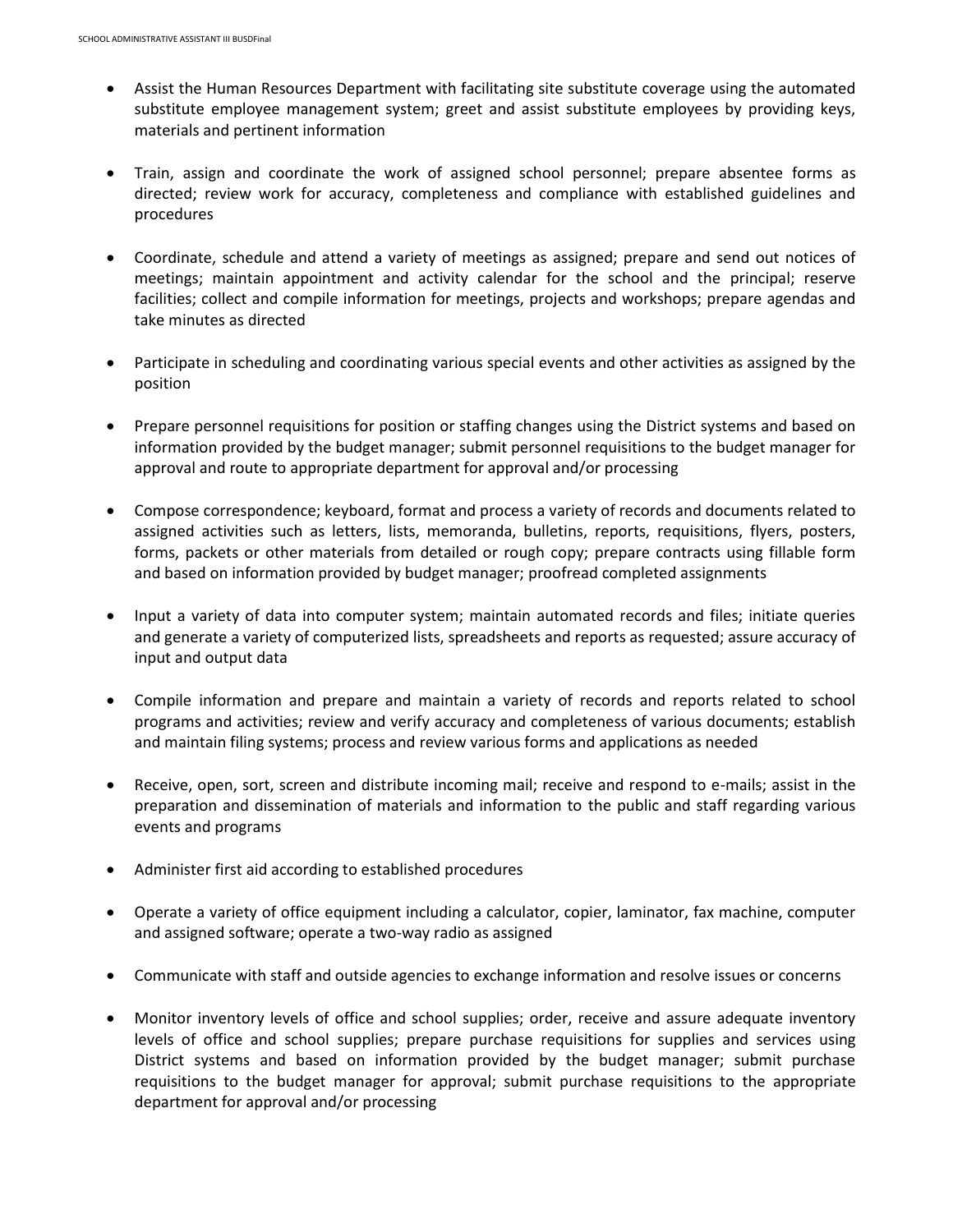- Assist the Human Resources Department with facilitating site substitute coverage using the automated substitute employee management system; greet and assist substitute employees by providing keys, materials and pertinent information
- Train, assign and coordinate the work of assigned school personnel; prepare absentee forms as directed; review work for accuracy, completeness and compliance with established guidelines and procedures
- Coordinate, schedule and attend a variety of meetings as assigned; prepare and send out notices of meetings; maintain appointment and activity calendar for the school and the principal; reserve facilities; collect and compile information for meetings, projects and workshops; prepare agendas and take minutes as directed
- Participate in scheduling and coordinating various special events and other activities as assigned by the position
- Prepare personnel requisitions for position or staffing changes using the District systems and based on information provided by the budget manager; submit personnel requisitions to the budget manager for approval and route to appropriate department for approval and/or processing
- Compose correspondence; keyboard, format and process a variety of records and documents related to assigned activities such as letters, lists, memoranda, bulletins, reports, requisitions, flyers, posters, forms, packets or other materials from detailed or rough copy; prepare contracts using fillable form and based on information provided by budget manager; proofread completed assignments
- Input a variety of data into computer system; maintain automated records and files; initiate queries and generate a variety of computerized lists, spreadsheets and reports as requested; assure accuracy of input and output data
- Compile information and prepare and maintain a variety of records and reports related to school programs and activities; review and verify accuracy and completeness of various documents; establish and maintain filing systems; process and review various forms and applications as needed
- Receive, open, sort, screen and distribute incoming mail; receive and respond to e-mails; assist in the preparation and dissemination of materials and information to the public and staff regarding various events and programs
- Administer first aid according to established procedures
- Operate a variety of office equipment including a calculator, copier, laminator, fax machine, computer and assigned software; operate a two-way radio as assigned
- Communicate with staff and outside agencies to exchange information and resolve issues or concerns
- Monitor inventory levels of office and school supplies; order, receive and assure adequate inventory levels of office and school supplies; prepare purchase requisitions for supplies and services using District systems and based on information provided by the budget manager; submit purchase requisitions to the budget manager for approval; submit purchase requisitions to the appropriate department for approval and/or processing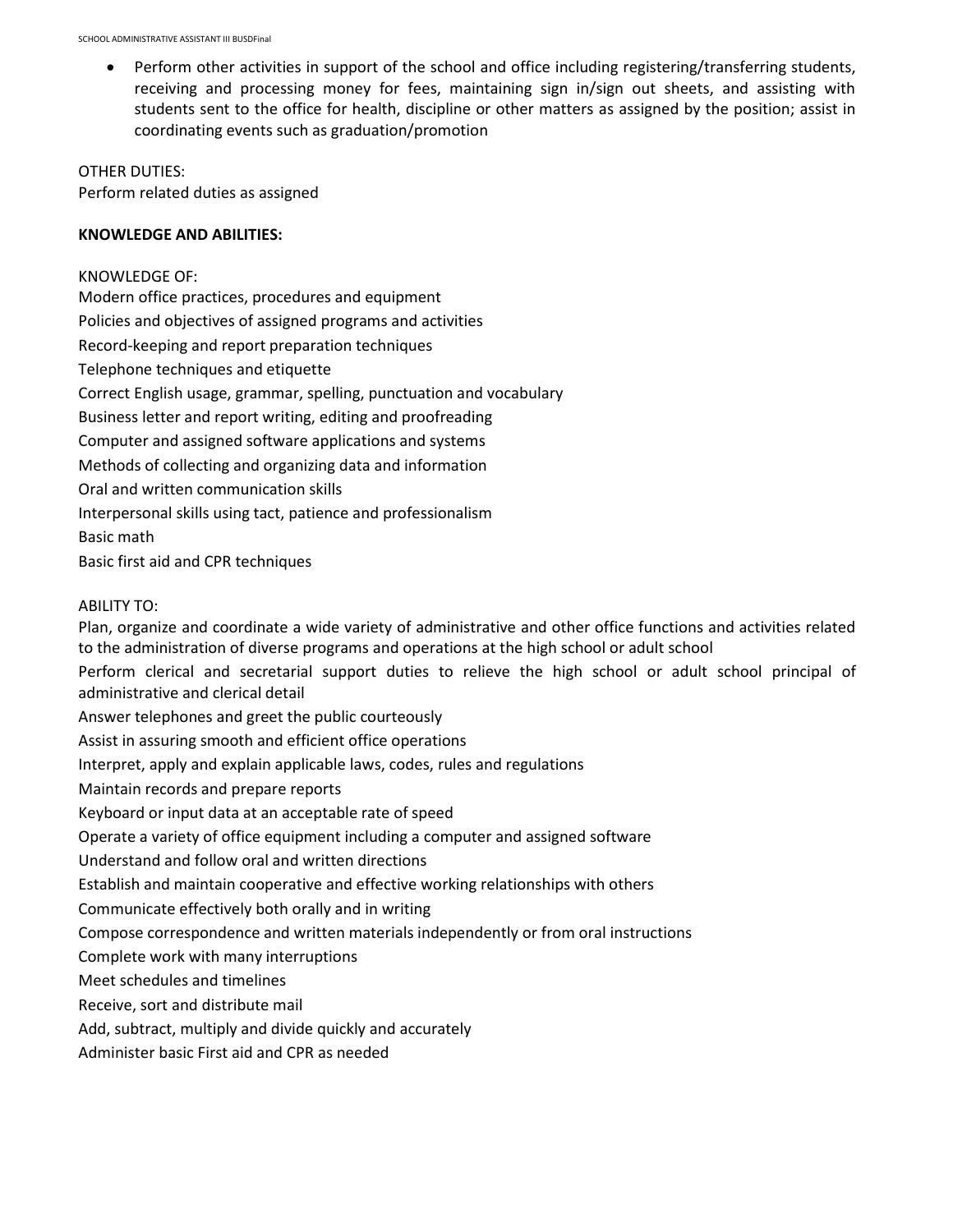Perform other activities in support of the school and office including registering/transferring students, receiving and processing money for fees, maintaining sign in/sign out sheets, and assisting with students sent to the office for health, discipline or other matters as assigned by the position; assist in coordinating events such as graduation/promotion

OTHER DUTIES: Perform related duties as assigned

### **KNOWLEDGE AND ABILITIES:**

KNOWLEDGE OF: Modern office practices, procedures and equipment Policies and objectives of assigned programs and activities Record-keeping and report preparation techniques Telephone techniques and etiquette Correct English usage, grammar, spelling, punctuation and vocabulary Business letter and report writing, editing and proofreading Computer and assigned software applications and systems Methods of collecting and organizing data and information Oral and written communication skills Interpersonal skills using tact, patience and professionalism Basic math Basic first aid and CPR techniques

## ABILITY TO:

Plan, organize and coordinate a wide variety of administrative and other office functions and activities related to the administration of diverse programs and operations at the high school or adult school Perform clerical and secretarial support duties to relieve the high school or adult school principal of administrative and clerical detail Answer telephones and greet the public courteously Assist in assuring smooth and efficient office operations Interpret, apply and explain applicable laws, codes, rules and regulations Maintain records and prepare reports

Keyboard or input data at an acceptable rate of speed

Operate a variety of office equipment including a computer and assigned software

Understand and follow oral and written directions

Establish and maintain cooperative and effective working relationships with others

Communicate effectively both orally and in writing

Compose correspondence and written materials independently or from oral instructions

Complete work with many interruptions

Meet schedules and timelines

Receive, sort and distribute mail

Add, subtract, multiply and divide quickly and accurately

Administer basic First aid and CPR as needed